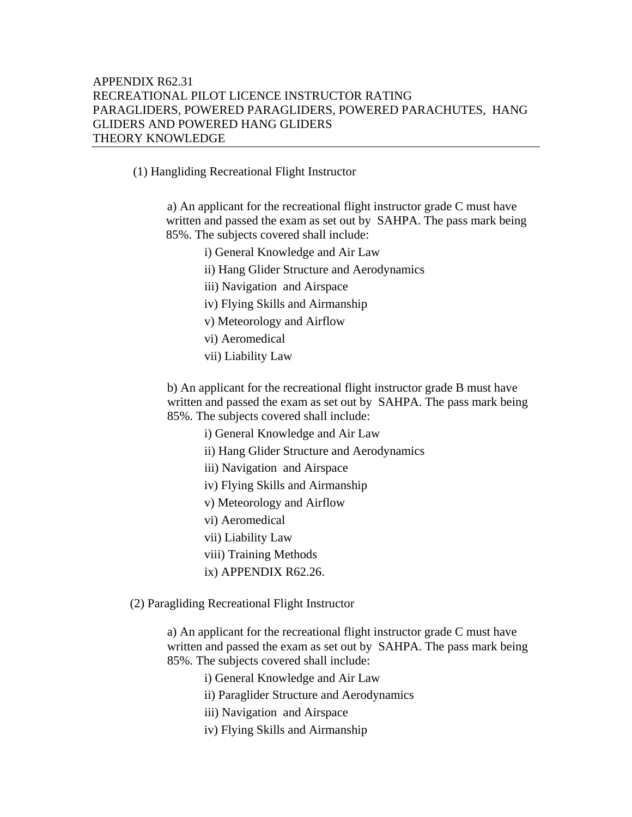(1) Hangliding Recreational Flight Instructor

 a) An applicant for the recreational flight instructor grade C must have written and passed the exam as set out by SAHPA. The pass mark being 85%. The subjects covered shall include:

- i) General Knowledge and Air Law
- ii) Hang Glider Structure and Aerodynamics
- iii) Navigation and Airspace
- iv) Flying Skills and Airmanship
- v) Meteorology and Airflow
- vi) Aeromedical
- vii) Liability Law

b) An applicant for the recreational flight instructor grade B must have written and passed the exam as set out by SAHPA. The pass mark being 85%. The subjects covered shall include:

i) General Knowledge and Air Law

- ii) Hang Glider Structure and Aerodynamics
- iii) Navigation and Airspace
- iv) Flying Skills and Airmanship
- v) Meteorology and Airflow
- vi) Aeromedical
- vii) Liability Law
- viii) Training Methods
- ix) APPENDIX R62.26.
- (2) Paragliding Recreational Flight Instructor

a) An applicant for the recreational flight instructor grade C must have written and passed the exam as set out by SAHPA. The pass mark being 85%. The subjects covered shall include:

i) General Knowledge and Air Law

ii) Paraglider Structure and Aerodynamics

- iii) Navigation and Airspace
- iv) Flying Skills and Airmanship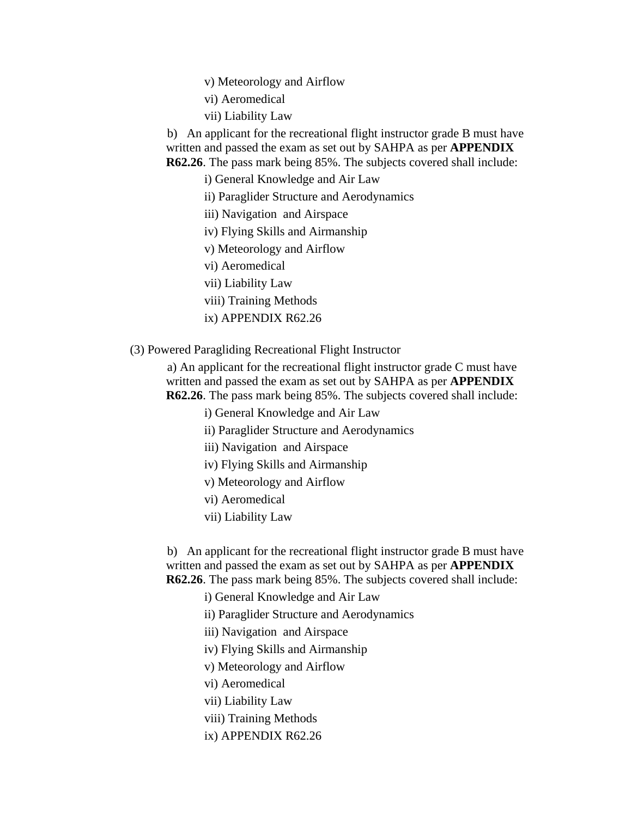v) Meteorology and Airflow

- vi) Aeromedical
- vii) Liability Law

 b) An applicant for the recreational flight instructor grade B must have written and passed the exam as set out by SAHPA as per **APPENDIX R62.26**. The pass mark being 85%. The subjects covered shall include:

i) General Knowledge and Air Law

ii) Paraglider Structure and Aerodynamics

iii) Navigation and Airspace

iv) Flying Skills and Airmanship

v) Meteorology and Airflow

vi) Aeromedical

vii) Liability Law

viii) Training Methods

ix) APPENDIX R62.26

(3) Powered Paragliding Recreational Flight Instructor

 a) An applicant for the recreational flight instructor grade C must have written and passed the exam as set out by SAHPA as per **APPENDIX R62.26**. The pass mark being 85%. The subjects covered shall include:

i) General Knowledge and Air Law

ii) Paraglider Structure and Aerodynamics

iii) Navigation and Airspace

iv) Flying Skills and Airmanship

v) Meteorology and Airflow

vi) Aeromedical

vii) Liability Law

 b) An applicant for the recreational flight instructor grade B must have written and passed the exam as set out by SAHPA as per **APPENDIX R62.26**. The pass mark being 85%. The subjects covered shall include:

i) General Knowledge and Air Law

ii) Paraglider Structure and Aerodynamics

iii) Navigation and Airspace

iv) Flying Skills and Airmanship

v) Meteorology and Airflow

vi) Aeromedical

vii) Liability Law

- viii) Training Methods
- ix) APPENDIX R62.26